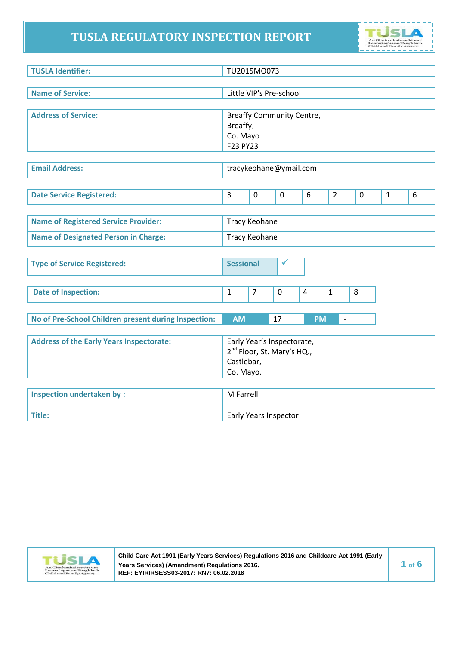# **TUSLA REGULATORY INSPECTION REPORT**



| <b>TUSLA Identifier:</b>                             |                  | TU2015MO073          |                                        |                |                          |             |              |   |
|------------------------------------------------------|------------------|----------------------|----------------------------------------|----------------|--------------------------|-------------|--------------|---|
|                                                      |                  |                      |                                        |                |                          |             |              |   |
| <b>Name of Service:</b>                              |                  |                      | Little VIP's Pre-school                |                |                          |             |              |   |
|                                                      |                  |                      |                                        |                |                          |             |              |   |
| <b>Address of Service:</b>                           |                  |                      | <b>Breaffy Community Centre,</b>       |                |                          |             |              |   |
|                                                      | Breaffy,         |                      |                                        |                |                          |             |              |   |
|                                                      | Co. Mayo         |                      |                                        |                |                          |             |              |   |
|                                                      | F23 PY23         |                      |                                        |                |                          |             |              |   |
|                                                      |                  |                      |                                        |                |                          |             |              |   |
| <b>Email Address:</b>                                |                  |                      | tracykeohane@ymail.com                 |                |                          |             |              |   |
|                                                      |                  |                      |                                        |                |                          |             |              |   |
| <b>Date Service Registered:</b>                      | $\overline{3}$   | $\mathbf 0$          | $\mathbf 0$                            | 6              | $\overline{2}$           | $\mathbf 0$ | $\mathbf{1}$ | 6 |
|                                                      |                  |                      |                                        |                |                          |             |              |   |
| <b>Name of Registered Service Provider:</b>          |                  | <b>Tracy Keohane</b> |                                        |                |                          |             |              |   |
|                                                      |                  |                      |                                        |                |                          |             |              |   |
| <b>Name of Designated Person in Charge:</b>          |                  | <b>Tracy Keohane</b> |                                        |                |                          |             |              |   |
|                                                      |                  |                      |                                        |                |                          |             |              |   |
| <b>Type of Service Registered:</b>                   | <b>Sessional</b> |                      | ✔                                      |                |                          |             |              |   |
|                                                      |                  |                      |                                        |                |                          |             |              |   |
| <b>Date of Inspection:</b>                           | $\mathbf{1}$     | $\overline{7}$       | $\mathbf 0$                            | $\overline{4}$ | 1                        | 8           |              |   |
|                                                      |                  |                      |                                        |                |                          |             |              |   |
|                                                      |                  |                      |                                        |                |                          |             |              |   |
| No of Pre-School Children present during Inspection: | <b>AM</b>        |                      | 17                                     | <b>PM</b>      | $\overline{\phantom{a}}$ |             |              |   |
|                                                      |                  |                      |                                        |                |                          |             |              |   |
| <b>Address of the Early Years Inspectorate:</b>      |                  |                      | Early Year's Inspectorate,             |                |                          |             |              |   |
|                                                      |                  |                      | 2 <sup>nd</sup> Floor, St. Mary's HQ., |                |                          |             |              |   |
|                                                      | Castlebar,       |                      |                                        |                |                          |             |              |   |
|                                                      | Co. Mayo.        |                      |                                        |                |                          |             |              |   |
|                                                      |                  |                      |                                        |                |                          |             |              |   |
| <b>Inspection undertaken by:</b>                     | M Farrell        |                      |                                        |                |                          |             |              |   |



**Title:** 

**Child Care Act 1991 (Early Years Services) Regulations 2016 and Childcare Act 1991 (Early Years Services) (Amendment) Regulations 2016. REF: EYIRIRSESS03-2017: RN7: 06.02.2018**

Early Years Inspector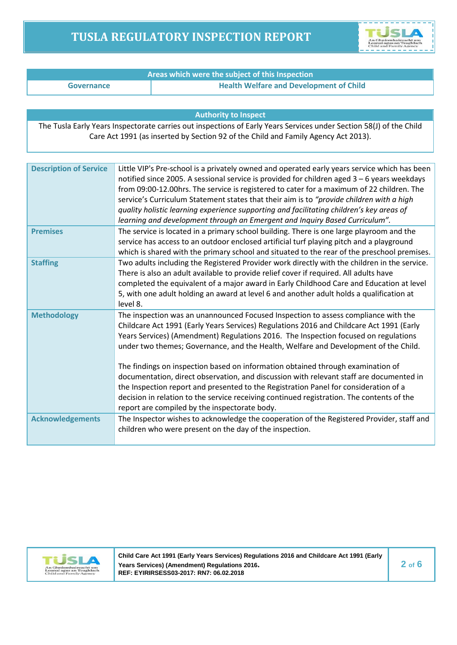# **TUSLA REGULATORY INSPECTION REPORT**



| Areas which were the subject of this Inspection |                                                |  |  |
|-------------------------------------------------|------------------------------------------------|--|--|
| Governance                                      | <b>Health Welfare and Development of Child</b> |  |  |

#### **Authority to Inspect**

The Tusla Early Years Inspectorate carries out inspections of Early Years Services under Section 58(J) of the Child Care Act 1991 (as inserted by Section 92 of the Child and Family Agency Act 2013).

| <b>Description of Service</b> | Little VIP's Pre-school is a privately owned and operated early years service which has been<br>notified since 2005. A sessional service is provided for children aged $3 - 6$ years weekdays<br>from 09:00-12.00hrs. The service is registered to cater for a maximum of 22 children. The<br>service's Curriculum Statement states that their aim is to "provide children with a high<br>quality holistic learning experience supporting and facilitating children's key areas of<br>learning and development through an Emergent and Inquiry Based Curriculum".                                                                  |
|-------------------------------|------------------------------------------------------------------------------------------------------------------------------------------------------------------------------------------------------------------------------------------------------------------------------------------------------------------------------------------------------------------------------------------------------------------------------------------------------------------------------------------------------------------------------------------------------------------------------------------------------------------------------------|
| <b>Premises</b>               | The service is located in a primary school building. There is one large playroom and the<br>service has access to an outdoor enclosed artificial turf playing pitch and a playground<br>which is shared with the primary school and situated to the rear of the preschool premises.                                                                                                                                                                                                                                                                                                                                                |
| <b>Staffing</b>               | Two adults including the Registered Provider work directly with the children in the service.<br>There is also an adult available to provide relief cover if required. All adults have<br>completed the equivalent of a major award in Early Childhood Care and Education at level<br>5, with one adult holding an award at level 6 and another adult holds a qualification at<br>level 8.                                                                                                                                                                                                                                          |
| <b>Methodology</b>            | The inspection was an unannounced Focused Inspection to assess compliance with the<br>Childcare Act 1991 (Early Years Services) Regulations 2016 and Childcare Act 1991 (Early<br>Years Services) (Amendment) Regulations 2016. The Inspection focused on regulations<br>under two themes; Governance, and the Health, Welfare and Development of the Child.<br>The findings on inspection based on information obtained through examination of<br>documentation, direct observation, and discussion with relevant staff are documented in<br>the Inspection report and presented to the Registration Panel for consideration of a |
|                               | decision in relation to the service receiving continued registration. The contents of the<br>report are compiled by the inspectorate body.                                                                                                                                                                                                                                                                                                                                                                                                                                                                                         |
| <b>Acknowledgements</b>       | The Inspector wishes to acknowledge the cooperation of the Registered Provider, staff and<br>children who were present on the day of the inspection.                                                                                                                                                                                                                                                                                                                                                                                                                                                                               |



**Child Care Act 1991 (Early Years Services) Regulations 2016 and Childcare Act 1991 (Early Years Services) (Amendment) Regulations 2016. REF: EYIRIRSESS03-2017: RN7: 06.02.2018**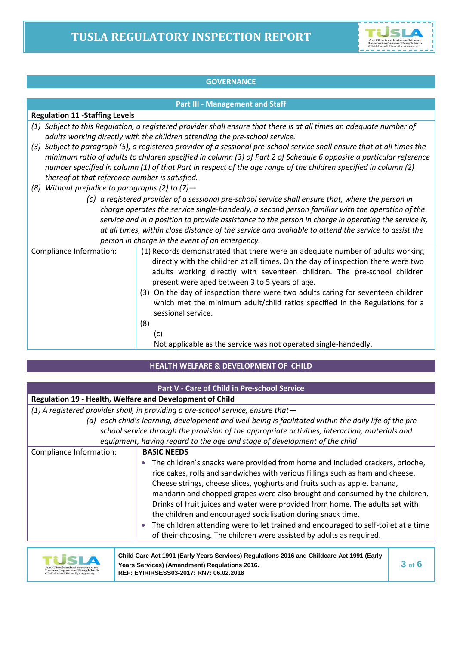

## **GOVERNANCE**

#### **Part III - Management and Staff**

#### **Regulation 11 -Staffing Levels**

- *(1) Subject to this Regulation, a registered provider shall ensure that there is at all times an adequate number of adults working directly with the children attending the pre-school service.*
- *(3) Subject to paragraph (5), a registered provider of a sessional pre-school service shall ensure that at all times the minimum ratio of adults to children specified in column (3) of Part 2 of Schedule 6 opposite a particular reference number specified in column (1) of that Part in respect of the age range of the children specified in column (2) thereof at that reference number is satisfied.*
- *(8) Without prejudice to paragraphs (2) to (7)—*
	- *(c) a registered provider of a sessional pre-school service shall ensure that, where the person in charge operates the service single-handedly, a second person familiar with the operation of the service and in a position to provide assistance to the person in charge in operating the service is, at all times, within close distance of the service and available to attend the service to assist the person in charge in the event of an emergency.*

| Compliance Information: | (1) Records demonstrated that there were an adequate number of adults working<br>directly with the children at all times. On the day of inspection there were two<br>adults working directly with seventeen children. The pre-school children<br>present were aged between 3 to 5 years of age.<br>(3) On the day of inspection there were two adults caring for seventeen children<br>which met the minimum adult/child ratios specified in the Regulations for a<br>sessional service.<br>(8) |
|-------------------------|-------------------------------------------------------------------------------------------------------------------------------------------------------------------------------------------------------------------------------------------------------------------------------------------------------------------------------------------------------------------------------------------------------------------------------------------------------------------------------------------------|
|                         | (c)                                                                                                                                                                                                                                                                                                                                                                                                                                                                                             |
|                         | Not applicable as the service was not operated single-handedly.                                                                                                                                                                                                                                                                                                                                                                                                                                 |

### **HEALTH WELFARE & DEVELOPMENT OF CHILD**

|                                                                 | Part V - Care of Child in Pre-school Service                                                                                                                                                                                                                                                                                                                                                                                                                                                                                                                                                                                               |
|-----------------------------------------------------------------|--------------------------------------------------------------------------------------------------------------------------------------------------------------------------------------------------------------------------------------------------------------------------------------------------------------------------------------------------------------------------------------------------------------------------------------------------------------------------------------------------------------------------------------------------------------------------------------------------------------------------------------------|
| <b>Regulation 19 - Health, Welfare and Development of Child</b> |                                                                                                                                                                                                                                                                                                                                                                                                                                                                                                                                                                                                                                            |
|                                                                 | (1) A registered provider shall, in providing a pre-school service, ensure that-                                                                                                                                                                                                                                                                                                                                                                                                                                                                                                                                                           |
|                                                                 | (a) each child's learning, development and well-being is facilitated within the daily life of the pre-                                                                                                                                                                                                                                                                                                                                                                                                                                                                                                                                     |
|                                                                 | school service through the provision of the appropriate activities, interaction, materials and                                                                                                                                                                                                                                                                                                                                                                                                                                                                                                                                             |
|                                                                 | equipment, having regard to the age and stage of development of the child                                                                                                                                                                                                                                                                                                                                                                                                                                                                                                                                                                  |
| Compliance Information:                                         | <b>BASIC NEEDS</b>                                                                                                                                                                                                                                                                                                                                                                                                                                                                                                                                                                                                                         |
|                                                                 | The children's snacks were provided from home and included crackers, brioche,<br>rice cakes, rolls and sandwiches with various fillings such as ham and cheese.<br>Cheese strings, cheese slices, yoghurts and fruits such as apple, banana,<br>mandarin and chopped grapes were also brought and consumed by the children.<br>Drinks of fruit juices and water were provided from home. The adults sat with<br>the children and encouraged socialisation during snack time.<br>The children attending were toilet trained and encouraged to self-toilet at a time<br>of their choosing. The children were assisted by adults as required. |



| Child Care Act 1991 (Early Years Services) Regulations 2016 and Childcare Act 1991 (Early |            |
|-------------------------------------------------------------------------------------------|------------|
| Years Services) (Amendment) Regulations 2016.                                             | $3$ of $6$ |
| REF: EYIRIRSESS03-2017: RN7: 06.02.2018                                                   |            |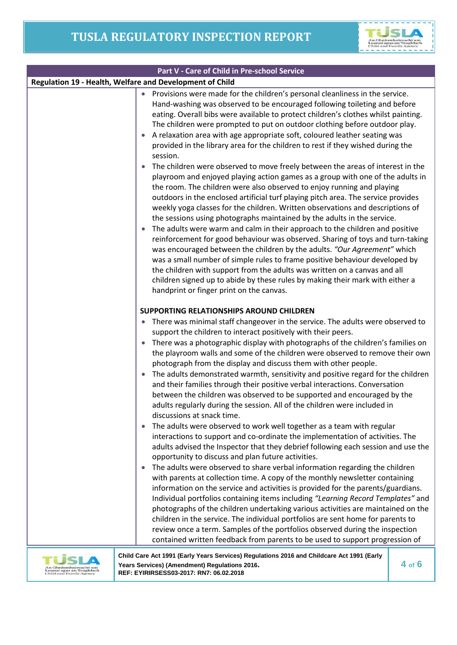ī

|                                                    | Part V - Care of Child in Pre-school Service                                                                                                                                                                                                                                                                                                                                                                                                                                                                                                                                                                                                                                                                                                                                                                                                                                                                                                                                                                                                                                                                                                                                                                                                                                                                                                                                                                                                                                                                                                                                                                                                                                                                                                                                   |
|----------------------------------------------------|--------------------------------------------------------------------------------------------------------------------------------------------------------------------------------------------------------------------------------------------------------------------------------------------------------------------------------------------------------------------------------------------------------------------------------------------------------------------------------------------------------------------------------------------------------------------------------------------------------------------------------------------------------------------------------------------------------------------------------------------------------------------------------------------------------------------------------------------------------------------------------------------------------------------------------------------------------------------------------------------------------------------------------------------------------------------------------------------------------------------------------------------------------------------------------------------------------------------------------------------------------------------------------------------------------------------------------------------------------------------------------------------------------------------------------------------------------------------------------------------------------------------------------------------------------------------------------------------------------------------------------------------------------------------------------------------------------------------------------------------------------------------------------|
|                                                    | Regulation 19 - Health, Welfare and Development of Child                                                                                                                                                                                                                                                                                                                                                                                                                                                                                                                                                                                                                                                                                                                                                                                                                                                                                                                                                                                                                                                                                                                                                                                                                                                                                                                                                                                                                                                                                                                                                                                                                                                                                                                       |
|                                                    | Provisions were made for the children's personal cleanliness in the service.<br>Hand-washing was observed to be encouraged following toileting and before<br>eating. Overall bibs were available to protect children's clothes whilst painting.<br>The children were prompted to put on outdoor clothing before outdoor play.<br>A relaxation area with age appropriate soft, coloured leather seating was<br>provided in the library area for the children to rest if they wished during the<br>session.<br>The children were observed to move freely between the areas of interest in the<br>playroom and enjoyed playing action games as a group with one of the adults in<br>the room. The children were also observed to enjoy running and playing<br>outdoors in the enclosed artificial turf playing pitch area. The service provides<br>weekly yoga classes for the children. Written observations and descriptions of<br>the sessions using photographs maintained by the adults in the service.<br>The adults were warm and calm in their approach to the children and positive<br>reinforcement for good behaviour was observed. Sharing of toys and turn-taking<br>was encouraged between the children by the adults. "Our Agreement" which<br>was a small number of simple rules to frame positive behaviour developed by<br>the children with support from the adults was written on a canvas and all<br>children signed up to abide by these rules by making their mark with either a<br>handprint or finger print on the canvas.                                                                                                                                                                                                                               |
|                                                    | SUPPORTING RELATIONSHIPS AROUND CHILDREN<br>There was minimal staff changeover in the service. The adults were observed to<br>support the children to interact positively with their peers.<br>There was a photographic display with photographs of the children's families on<br>the playroom walls and some of the children were observed to remove their own<br>photograph from the display and discuss them with other people.<br>The adults demonstrated warmth, sensitivity and positive regard for the children<br>and their families through their positive verbal interactions. Conversation<br>between the children was observed to be supported and encouraged by the<br>adults regularly during the session. All of the children were included in<br>discussions at snack time.<br>The adults were observed to work well together as a team with regular<br>interactions to support and co-ordinate the implementation of activities. The<br>adults advised the Inspector that they debrief following each session and use the<br>opportunity to discuss and plan future activities.<br>The adults were observed to share verbal information regarding the children<br>with parents at collection time. A copy of the monthly newsletter containing<br>information on the service and activities is provided for the parents/guardians.<br>Individual portfolios containing items including "Learning Record Templates" and<br>photographs of the children undertaking various activities are maintained on the<br>children in the service. The individual portfolios are sent home for parents to<br>review once a term. Samples of the portfolios observed during the inspection<br>contained written feedback from parents to be used to support progression of |
| eanaí agus an Teaghlach<br>Child and Family Agency | Child Care Act 1991 (Early Years Services) Regulations 2016 and Childcare Act 1991 (Early<br>$4$ of $6$<br>Years Services) (Amendment) Regulations 2016.<br>REF: EYIRIRSESS03-2017: RN7: 06.02.2018                                                                                                                                                                                                                                                                                                                                                                                                                                                                                                                                                                                                                                                                                                                                                                                                                                                                                                                                                                                                                                                                                                                                                                                                                                                                                                                                                                                                                                                                                                                                                                            |

**Years Services) (Amendment) Regulations 2016. REF: EYIRIRSESS03-2017: RN7: 06.02.2018**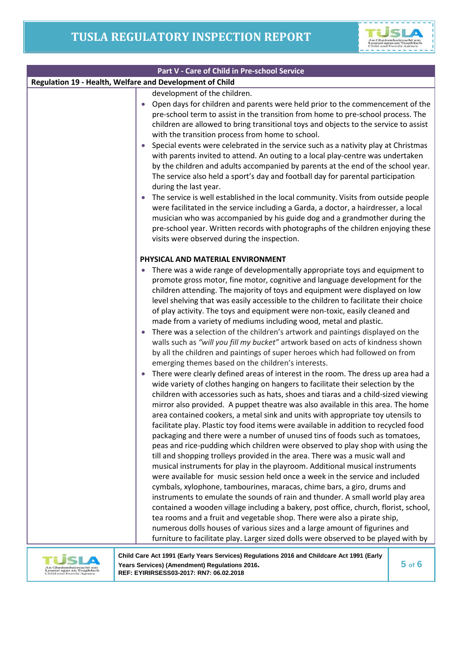

|                                                          | Part V - Care of Child in Pre-school Service                                                                                                                                                                                                                                                                                                                                                                                                                                                                                                                                                                                                                                                                                                                                                                                                                                                                                                                                                                                                                                       |
|----------------------------------------------------------|------------------------------------------------------------------------------------------------------------------------------------------------------------------------------------------------------------------------------------------------------------------------------------------------------------------------------------------------------------------------------------------------------------------------------------------------------------------------------------------------------------------------------------------------------------------------------------------------------------------------------------------------------------------------------------------------------------------------------------------------------------------------------------------------------------------------------------------------------------------------------------------------------------------------------------------------------------------------------------------------------------------------------------------------------------------------------------|
| Regulation 19 - Health, Welfare and Development of Child |                                                                                                                                                                                                                                                                                                                                                                                                                                                                                                                                                                                                                                                                                                                                                                                                                                                                                                                                                                                                                                                                                    |
|                                                          | development of the children.<br>Open days for children and parents were held prior to the commencement of the<br>pre-school term to assist in the transition from home to pre-school process. The<br>children are allowed to bring transitional toys and objects to the service to assist<br>with the transition process from home to school.<br>Special events were celebrated in the service such as a nativity play at Christmas<br>with parents invited to attend. An outing to a local play-centre was undertaken<br>by the children and adults accompanied by parents at the end of the school year.<br>The service also held a sport's day and football day for parental participation<br>during the last year.<br>The service is well established in the local community. Visits from outside people<br>$\bullet$<br>were facilitated in the service including a Garda, a doctor, a hairdresser, a local<br>musician who was accompanied by his guide dog and a grandmother during the<br>pre-school year. Written records with photographs of the children enjoying these |
|                                                          | visits were observed during the inspection.<br>PHYSICAL AND MATERIAL ENVIRONMENT<br>There was a wide range of developmentally appropriate toys and equipment to<br>promote gross motor, fine motor, cognitive and language development for the<br>children attending. The majority of toys and equipment were displayed on low<br>level shelving that was easily accessible to the children to facilitate their choice<br>of play activity. The toys and equipment were non-toxic, easily cleaned and<br>made from a variety of mediums including wood, metal and plastic.                                                                                                                                                                                                                                                                                                                                                                                                                                                                                                         |
|                                                          | There was a selection of the children's artwork and paintings displayed on the<br>walls such as "will you fill my bucket" artwork based on acts of kindness shown<br>by all the children and paintings of super heroes which had followed on from<br>emerging themes based on the children's interests.<br>There were clearly defined areas of interest in the room. The dress up area had a<br>wide variety of clothes hanging on hangers to facilitate their selection by the<br>children with accessories such as hats, shoes and tiaras and a child-sized viewing<br>mirror also provided. A puppet theatre was also available in this area. The home<br>area contained cookers, a metal sink and units with appropriate toy utensils to<br>facilitate play. Plastic toy food items were available in addition to recycled food<br>packaging and there were a number of unused tins of foods such as tomatoes,                                                                                                                                                                 |
|                                                          | peas and rice-pudding which children were observed to play shop with using the<br>till and shopping trolleys provided in the area. There was a music wall and<br>musical instruments for play in the playroom. Additional musical instruments<br>were available for music session held once a week in the service and included<br>cymbals, xylophone, tambourines, maracas, chime bars, a giro, drums and<br>instruments to emulate the sounds of rain and thunder. A small world play area<br>contained a wooden village including a bakery, post office, church, florist, school,<br>tea rooms and a fruit and vegetable shop. There were also a pirate ship,<br>numerous dolls houses of various sizes and a large amount of figurines and<br>furniture to facilitate play. Larger sized dolls were observed to be played with by<br>Child Care Act 1991 (Early Years Services) Regulations 2016 and Childcare Act 1991 (Early                                                                                                                                                  |



**Child Care Act 1991 (Early Years Services) Regulations 2016 and Childcare Act 1991 (Early Years Services) (Amendment) Regulations 2016. REF: EYIRIRSESS03-2017: RN7: 06.02.2018**